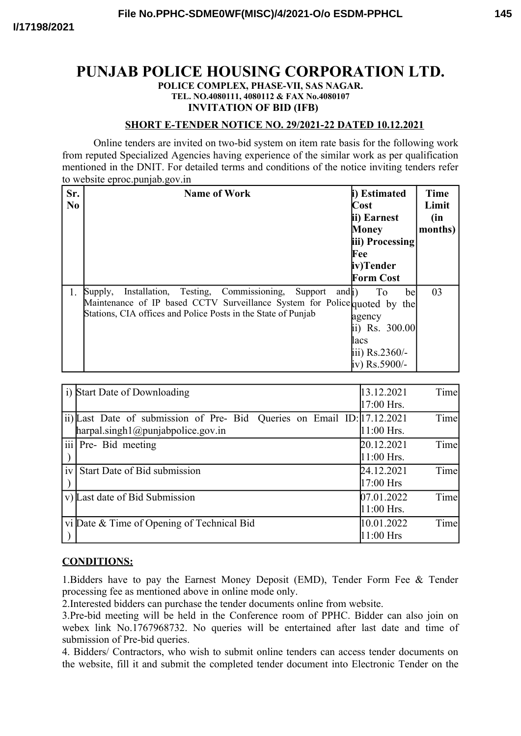# **PUNJAB POLICE HOUSING CORPORATION LTD.**

#### **POLICE COMPLEX, PHASE-VII, SAS NAGAR. TEL. NO.4080111, 4080112 & FAX No.4080107 INVITATION OF BID (IFB)**

### **SHORT E-TENDER NOTICE NO. 29/2021-22 DATED 10.12.2021**

Online tenders are invited on two-bid system on item rate basis for the following work from reputed Specialized Agencies having experience of the similar work as per qualification mentioned in the DNIT. For detailed terms and conditions of the notice inviting tenders refer to website eproc puniab gov in

| Sr.<br>N <sub>0</sub> | <b>Name of Work</b>                                                                                                                                                                                                             | i) Estimated<br>Cost<br>ii) Earnest<br>Money<br>iii) Processing<br>Fee<br>iv)Tender<br><b>Form Cost</b> | Time<br>Limit<br>(in<br>months) |
|-----------------------|---------------------------------------------------------------------------------------------------------------------------------------------------------------------------------------------------------------------------------|---------------------------------------------------------------------------------------------------------|---------------------------------|
| 1.                    | Installation, Testing, Commissioning,<br>Supply,<br>Support<br>and <sub>i</sub> )<br>Maintenance of IP based CCTV Surveillance System for Police quoted by the<br>Stations, CIA offices and Police Posts in the State of Punjab | To<br>bel<br>agency<br>ii) Rs. 300.00<br>lacs<br>iii) Rs.2360/-<br>iv) Rs.5900/-                        | 03                              |

| $\ddot{1}$ | Start Date of Downloading                                                                                       | 13.12.2021<br>Time<br>17:00 Hrs.   |
|------------|-----------------------------------------------------------------------------------------------------------------|------------------------------------|
|            | ii) Last Date of submission of Pre- Bid Queries on Email ID: [17.12.2021]<br>harpal.singh1@puniabpoleice.gov.in | Time<br>$11:00$ Hrs.               |
|            | iii Pre- Bid meeting                                                                                            | Time<br>20.12.2021<br>$11:00$ Hrs. |
| iv         | Start Date of Bid submission                                                                                    | Time<br>24.12.2021<br>17:00 Hrs    |
| V)         | Last date of Bid Submission                                                                                     | Time<br>07.01.2022<br>11:00 Hrs.   |
|            | vi Date & Time of Opening of Technical Bid                                                                      | Time<br>10.01.2022<br>11:00 Hrs    |

## **CONDITIONS:**

1.Bidders have to pay the Earnest Money Deposit (EMD), Tender Form Fee & Tender processing fee as mentioned above in online mode only.

2.Interested bidders can purchase the tender documents online from website.

3.Pre-bid meeting will be held in the Conference room of PPHC. Bidder can also join on webex link No.1767968732. No queries will be entertained after last date and time of submission of Pre-bid queries.

4. Bidders/ Contractors, who wish to submit online tenders can access tender documents on the website, fill it and submit the completed tender document into Electronic Tender on the